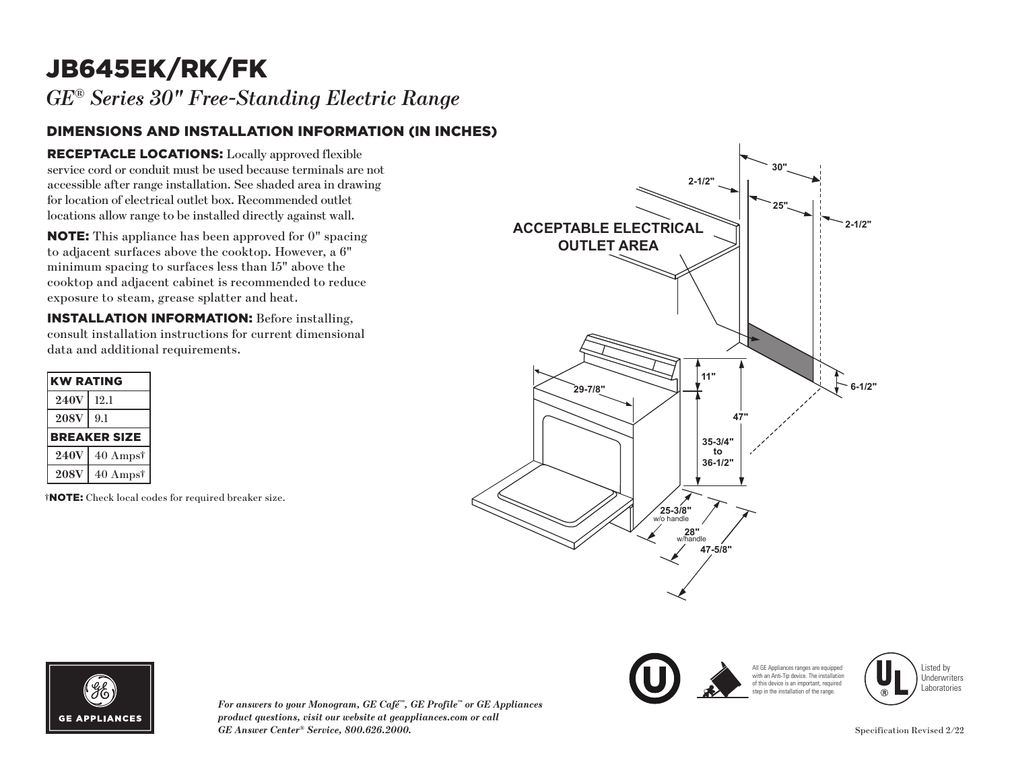## JB645EK/RK/FK

*GE® Series 30" Free-Standing Electric Range* 

## DIMENSIONS AND INSTALLATION INFORMATION (IN INCHES)

RECEPTACLE LOCATIONS: Locally approved flexible service cord or conduit must be used because terminals are not accessible after range installation. See shaded area in drawing for location of electrical outlet box. Recommended outlet locations allow range to be installed directly against wall.

NOTE: This appliance has been approved for 0" spacing to adjacent surfaces above the cooktop. However, a 6" minimum spacing to surfaces less than 15" above the cooktop and adjacent cabinet is recommended to reduce exposure to steam, grease splatter and heat.

INSTALLATION INFORMATION: Before installing, consult installation instructions for current dimensional data and additional requirements.

| <b>KW RATING</b>    |                     |
|---------------------|---------------------|
| <b>240V</b>         | 12.1                |
| <b>208V</b>         | 9.1                 |
| <b>BREAKER SIZE</b> |                     |
|                     |                     |
| <b>240V</b>         | $40 \text{ Amps}^*$ |

†NOTE: Check local codes for required breaker size.







*For answers to your Monogram, GE Café™, GE Profile™ or GE Appliances product questions, visit our website at geappliances.com or call GE Answer Center® Service, 800.626.2000.* Specification Revised 2/22